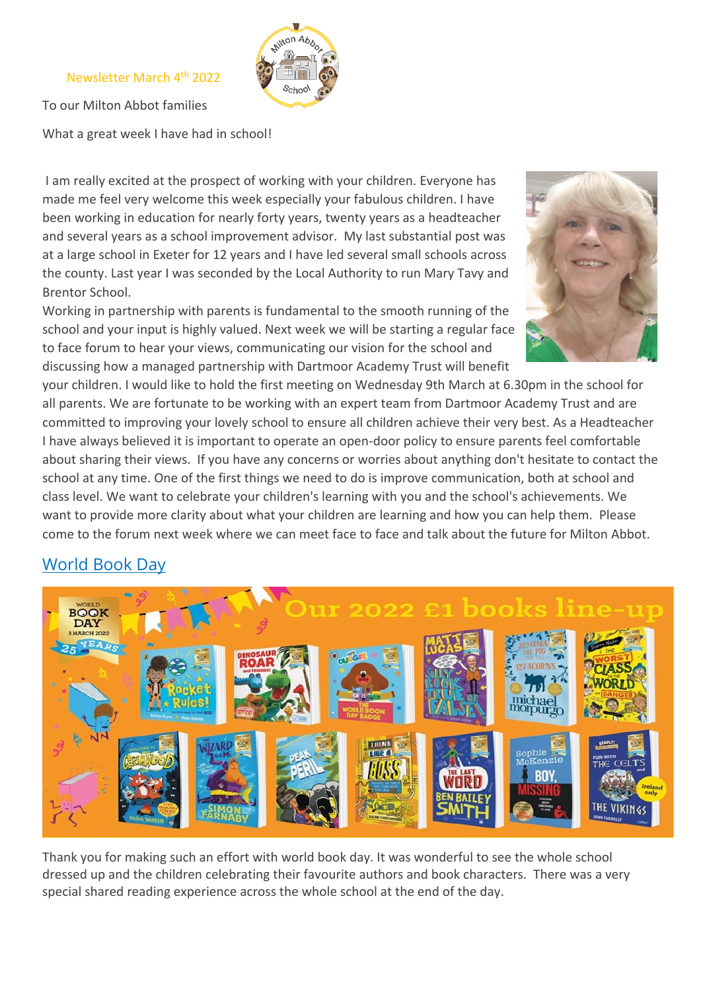#### Newsletter March 4th 2022



To our Milton Abbot families

What a great week I have had in school!

I am really excited at the prospect of working with your children. Everyone has made me feel very welcome this week especially your fabulous children. I have been working in education for nearly forty years, twenty years as a headteacher and several years as a school improvement advisor. My last substantial post was at a large school in Exeter for 12 years and I have led several small schools across the county. Last year I was seconded by the Local Authority to run Mary Tavy and Brentor School.

Working in partnership with parents is fundamental to the smooth running of the school and your input is highly valued. Next week we will be starting a regular face to face forum to hear your views, communicating our vision for the school and discussing how a managed partnership with Dartmoor Academy Trust will benefit



your children. I would like to hold the first meeting on Wednesday 9th March at 6.30pm in the school for all parents. We are fortunate to be working with an expert team from Dartmoor Academy Trust and are committed to improving your lovely school to ensure all children achieve their very best. As a Headteacher I have always believed it is important to operate an open-door policy to ensure parents feel comfortable about sharing their views. If you have any concerns or worries about anything don't hesitate to contact the school at any time. One of the first things we need to do is improve communication, both at school and class level. We want to celebrate your children's learning with you and the school's achievements. We want to provide more clarity about what your children are learning and how you can help them. Please come to the forum next week where we can meet face to face and talk about the future for Milton Abbot.

# World Book Day



Thank you for making such an effort with world book day. It was wonderful to see the whole school dressed up and the children celebrating their favourite authors and book characters. There was a very special shared reading experience across the whole school at the end of the day.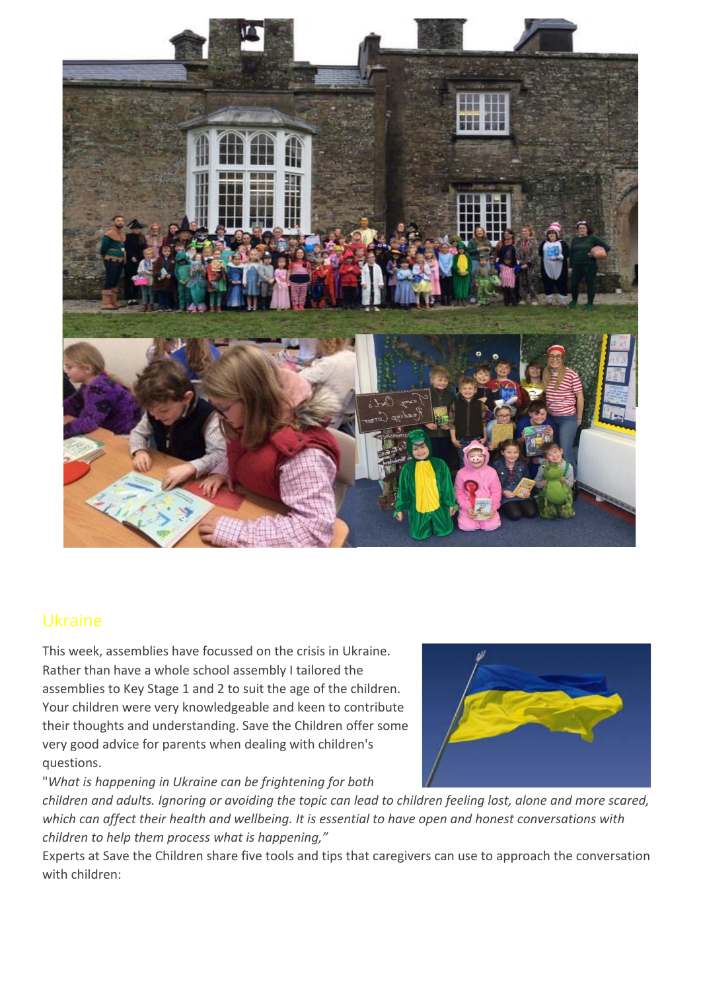

# Ukraine

This week, assemblies have focussed on the crisis in Ukraine. Rather than have a whole school assembly I tailored the assemblies to Key Stage 1 and 2 to suit the age of the children. Your children were very knowledgeable and keen to contribute their thoughts and understanding. Save the Children offer some very good advice for parents when dealing with children's questions.

"*What is happening in Ukraine can be frightening for both* 



*children and adults. Ignoring or avoiding the topic can lead to children feeling lost, alone and more scared, which can affect their health and wellbeing. It is essential to have open and honest conversations with children to help them process what is happening,"*

Experts at Save the Children share five tools and tips that caregivers can use to approach the conversation with children: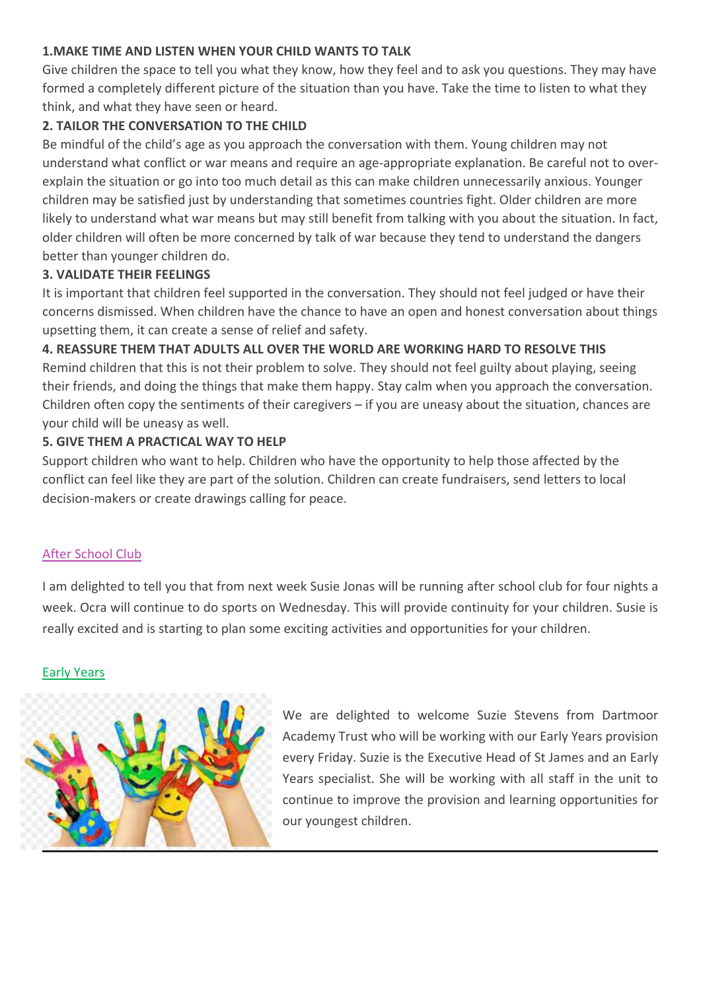#### **1.MAKE TIME AND LISTEN WHEN YOUR CHILD WANTS TO TALK**

Give children the space to tell you what they know, how they feel and to ask you questions. They may have formed a completely different picture of the situation than you have. Take the time to listen to what they think, and what they have seen or heard.

## **2. TAILOR THE CONVERSATION TO THE CHILD**

Be mindful of the child's age as you approach the conversation with them. Young children may not understand what conflict or war means and require an age-appropriate explanation. Be careful not to overexplain the situation or go into too much detail as this can make children unnecessarily anxious. Younger children may be satisfied just by understanding that sometimes countries fight. Older children are more likely to understand what war means but may still benefit from talking with you about the situation. In fact, older children will often be more concerned by talk of war because they tend to understand the dangers better than younger children do.

### **3. VALIDATE THEIR FEELINGS**

It is important that children feel supported in the conversation. They should not feel judged or have their concerns dismissed. When children have the chance to have an open and honest conversation about things upsetting them, it can create a sense of relief and safety.

## **4. REASSURE THEM THAT ADULTS ALL OVER THE WORLD ARE WORKING HARD TO RESOLVE THIS**

Remind children that this is not their problem to solve. They should not feel guilty about playing, seeing their friends, and doing the things that make them happy. Stay calm when you approach the conversation. Children often copy the sentiments of their caregivers – if you are uneasy about the situation, chances are your child will be uneasy as well.

### **5. GIVE THEM A PRACTICAL WAY TO HELP**

Support children who want to help. Children who have the opportunity to help those affected by the conflict can feel like they are part of the solution. Children can create fundraisers, send letters to local decision-makers or create drawings calling for peace.

### After School Club

I am delighted to tell you that from next week Susie Jonas will be running after school club for four nights a week. Ocra will continue to do sports on Wednesday. This will provide continuity for your children. Susie is really excited and is starting to plan some exciting activities and opportunities for your children.

#### Early Years



We are delighted to welcome Suzie Stevens from Dartmoor Academy Trust who will be working with our Early Years provision every Friday. Suzie is the Executive Head of St James and an Early Years specialist. She will be working with all staff in the unit to continue to improve the provision and learning opportunities for our youngest children.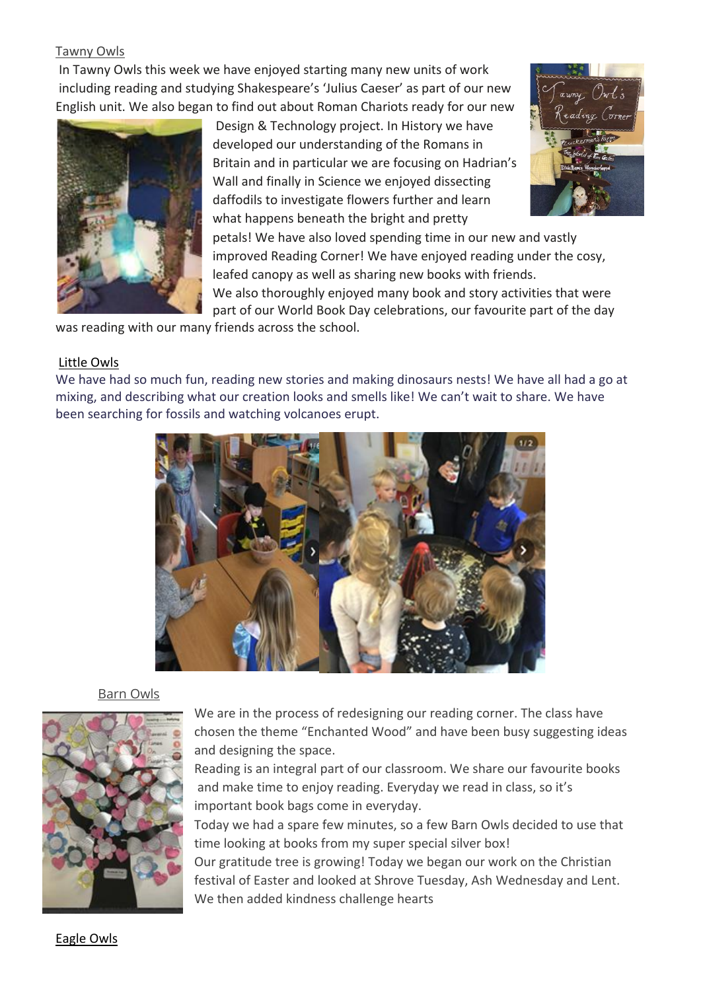#### Tawny Owls

In Tawny Owls this week we have enjoyed starting many new units of work including reading and studying Shakespeare's 'Julius Caeser' as part of our new English unit. We also began to find out about Roman Chariots ready for our new



Design & Technology project. In History we have developed our understanding of the Romans in Britain and in particular we are focusing on Hadrian's Wall and finally in Science we enjoyed dissecting daffodils to investigate flowers further and learn what happens beneath the bright and pretty



petals! We have also loved spending time in our new and vastly improved Reading Corner! We have enjoyed reading under the cosy, leafed canopy as well as sharing new books with friends.

We also thoroughly enjoyed many book and story activities that were part of our World Book Day celebrations, our favourite part of the day

was reading with our many friends across the school.

#### Little Owls

We have had so much fun, reading new stories and making dinosaurs nests! We have all had a go at mixing, and describing what our creation looks and smells like! We can't wait to share. We have been searching for fossils and watching volcanoes erupt.



#### Barn Owls



We are in the process of redesigning our reading corner. The class have chosen the theme "Enchanted Wood" and have been busy suggesting ideas and designing the space.

Reading is an integral part of our classroom. We share our favourite books and make time to enjoy reading. Everyday we read in class, so it's important book bags come in everyday.

Today we had a spare few minutes, so a few Barn Owls decided to use that time looking at books from my super special silver box!

Our gratitude tree is growing! Today we began our work on the Christian festival of Easter and looked at Shrove Tuesday, Ash Wednesday and Lent. We then added kindness challenge hearts

Eagle Owls